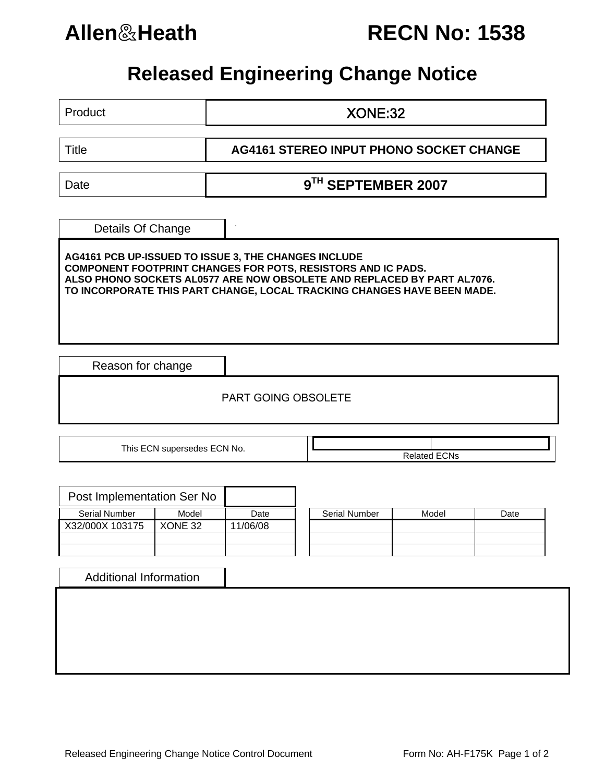

**Allen**&**Heath RECN No: 1538**

## **Released Engineering Change Notice**

Product XONE:32 Title **AG4161 STEREO INPUT PHONO SOCKET CHANGE**  Date **9<sup>TH</sup> SEPTEMBER 2007** . Details Of Change **AG4161 PCB UP-ISSUED TO ISSUE 3, THE CHANGES INCLUDE COMPONENT FOOTPRINT CHANGES FOR POTS, RESISTORS AND IC PADS. ALSO PHONO SOCKETS AL0577 ARE NOW OBSOLETE AND REPLACED BY PART AL7076. TO INCORPORATE THIS PART CHANGE, LOCAL TRACKING CHANGES HAVE BEEN MADE.** 

Reason for change

PART GOING OBSOLETE

This ECN supersedes ECN No.  $\overline{\qquad}$  **Related ECNs** 

| Post Implementation Ser No |         |          |                      |
|----------------------------|---------|----------|----------------------|
| <b>Serial Number</b>       | Model   | Date     | <b>Serial Number</b> |
| X32/000X 103175            | XONE 32 | 11/06/08 |                      |
|                            |         |          |                      |
|                            |         |          |                      |

| Serial Number | Model | Date |
|---------------|-------|------|
|               |       |      |
|               |       |      |
|               |       |      |

Additional Information